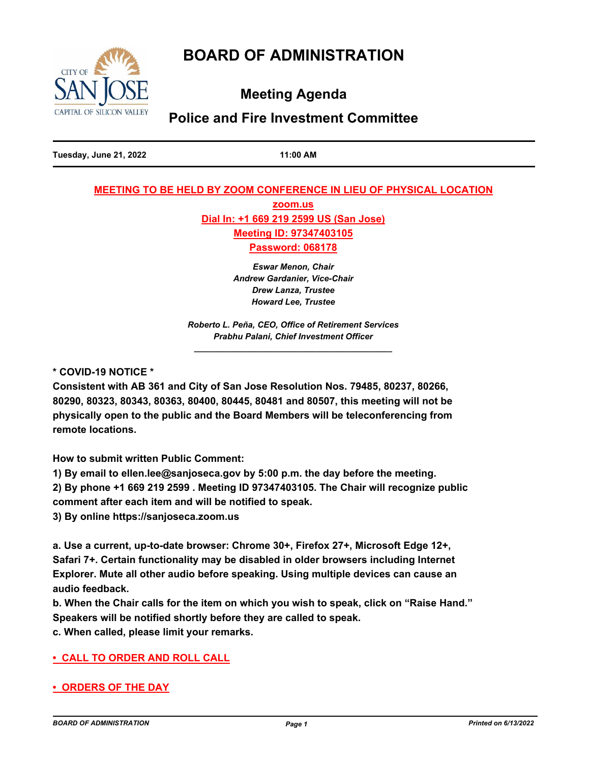# **BOARD OF ADMINISTRATION**



**Meeting Agenda**

## **Police and Fire Investment Committee**

**Tuesday, June 21, 2022 11:00 AM**

## **MEETING TO BE HELD BY ZOOM CONFERENCE IN LIEU OF PHYSICAL LOCATION**

**zoom.us Dial In: +1 669 219 2599 US (San Jose) Meeting ID: 97347403105**

**Password: 068178**

*Eswar Menon, Chair Andrew Gardanier, Vice-Chair Drew Lanza, Trustee Howard Lee, Trustee*

*Roberto L. Peña, CEO, Office of Retirement Services Prabhu Palani, Chief Investment Officer \_\_\_\_\_\_\_\_\_\_\_\_\_\_\_\_\_\_\_\_\_\_\_\_\_\_\_\_\_\_\_\_\_\_\_\_\_\_\_\_\_\_*

**\* COVID-19 NOTICE \***

**Consistent with AB 361 and City of San Jose Resolution Nos. 79485, 80237, 80266, 80290, 80323, 80343, 80363, 80400, 80445, 80481 and 80507, this meeting will not be physically open to the public and the Board Members will be teleconferencing from remote locations.**

**How to submit written Public Comment:**

**1) By email to ellen.lee@sanjoseca.gov by 5:00 p.m. the day before the meeting.**

**2) By phone +1 669 219 2599 . Meeting ID 97347403105. The Chair will recognize public comment after each item and will be notified to speak.**

**3) By online https://sanjoseca.zoom.us**

**a. Use a current, up-to-date browser: Chrome 30+, Firefox 27+, Microsoft Edge 12+, Safari 7+. Certain functionality may be disabled in older browsers including Internet Explorer. Mute all other audio before speaking. Using multiple devices can cause an audio feedback.**

**b. When the Chair calls for the item on which you wish to speak, click on "Raise Hand." Speakers will be notified shortly before they are called to speak.**

**c. When called, please limit your remarks.**

## **• CALL TO ORDER AND ROLL CALL**

**• ORDERS OF THE DAY**